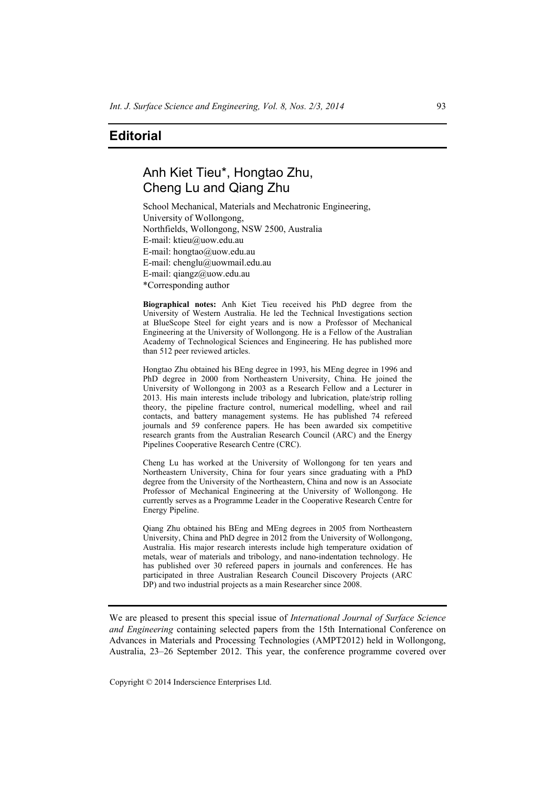## **Editorial**

## Anh Kiet Tieu\*, Hongtao Zhu, Cheng Lu and Qiang Zhu

School Mechanical, Materials and Mechatronic Engineering, University of Wollongong, Northfields, Wollongong, NSW 2500, Australia E-mail: ktieu@uow.edu.au E-mail: hongtao@uow.edu.au E-mail: chenglu@uowmail.edu.au E-mail: qiangz@uow.edu.au \*Corresponding author

**Biographical notes:** Anh Kiet Tieu received his PhD degree from the University of Western Australia. He led the Technical Investigations section at BlueScope Steel for eight years and is now a Professor of Mechanical Engineering at the University of Wollongong. He is a Fellow of the Australian Academy of Technological Sciences and Engineering. He has published more than 512 peer reviewed articles.

Hongtao Zhu obtained his BEng degree in 1993, his MEng degree in 1996 and PhD degree in 2000 from Northeastern University, China. He joined the University of Wollongong in 2003 as a Research Fellow and a Lecturer in 2013. His main interests include tribology and lubrication, plate/strip rolling theory, the pipeline fracture control, numerical modelling, wheel and rail contacts, and battery management systems. He has published 74 refereed journals and 59 conference papers. He has been awarded six competitive research grants from the Australian Research Council (ARC) and the Energy Pipelines Cooperative Research Centre (CRC).

Cheng Lu has worked at the University of Wollongong for ten years and Northeastern University, China for four years since graduating with a PhD degree from the University of the Northeastern, China and now is an Associate Professor of Mechanical Engineering at the University of Wollongong. He currently serves as a Programme Leader in the Cooperative Research Centre for Energy Pipeline.

Qiang Zhu obtained his BEng and MEng degrees in 2005 from Northeastern University, China and PhD degree in 2012 from the University of Wollongong, Australia. His major research interests include high temperature oxidation of metals, wear of materials and tribology, and nano-indentation technology. He has published over 30 refereed papers in journals and conferences. He has participated in three Australian Research Council Discovery Projects (ARC DP) and two industrial projects as a main Researcher since 2008.

We are pleased to present this special issue of *International Journal of Surface Science and Engineering* containing selected papers from the 15th International Conference on Advances in Materials and Processing Technologies (AMPT2012) held in Wollongong, Australia, 23–26 September 2012. This year, the conference programme covered over

Copyright © 2014 Inderscience Enterprises Ltd.